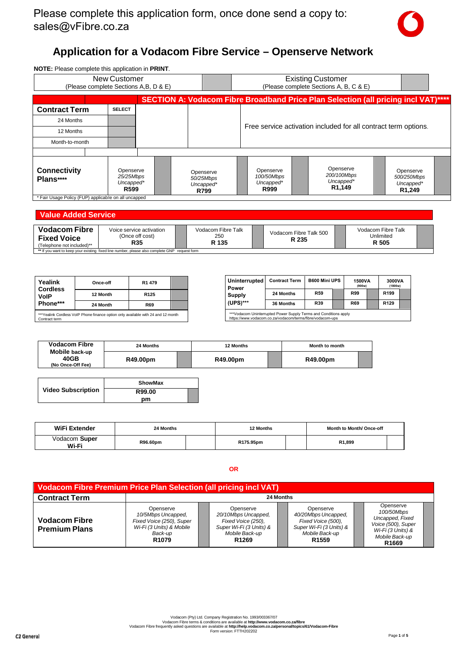

# **Application for a Vodacom Fibre Service – Openserve Network**

| <b>NOTE:</b> Please complete this application in <b>PRINT</b> . |                                                         |                                             |                                              |                                                                                    |                                                              |  |
|-----------------------------------------------------------------|---------------------------------------------------------|---------------------------------------------|----------------------------------------------|------------------------------------------------------------------------------------|--------------------------------------------------------------|--|
|                                                                 | New Customer<br>(Please complete Sections A, B, D & E)  |                                             |                                              | <b>Existing Customer</b><br>(Please complete Sections A, B, C & E)                 |                                                              |  |
|                                                                 |                                                         |                                             |                                              | SECTION A: Vodacom Fibre Broadband Price Plan Selection (all pricing incl VAT)**** |                                                              |  |
| <b>Contract Term</b>                                            | <b>SELECT</b>                                           |                                             |                                              |                                                                                    |                                                              |  |
| 24 Months                                                       |                                                         |                                             |                                              |                                                                                    |                                                              |  |
| 12 Months                                                       |                                                         |                                             |                                              | Free service activation included for all contract term options.                    |                                                              |  |
| Month-to-month                                                  |                                                         |                                             |                                              |                                                                                    |                                                              |  |
|                                                                 |                                                         |                                             |                                              |                                                                                    |                                                              |  |
| <b>Connectivity</b><br>Plans****                                | Openserve<br>25/25Mbps<br>Uncapped*<br>R <sub>599</sub> | Openserve<br>50/25Mbps<br>Uncapped*<br>R799 | Openserve<br>100/50Mbps<br>Uncapped*<br>R999 | Openserve<br>200/100Mbps<br>Uncapped*<br>R1,149                                    | Openserve<br>500/250Mbps<br>Uncapped*<br>R <sub>1</sub> ,249 |  |
| * Fair Usage Policy (FUP) applicable on all uncapped            |                                                         |                                             |                                              |                                                                                    |                                                              |  |

### **Value Added Service**

| <b>Vodacom Fibre</b><br><b>Fixed Voice</b><br>(Telephone not included)** | Voice service activation<br>(Once off cost)<br>R35                                            | Vodacom Fibre Talk<br>250<br>R 135 | Vodacom Fibre Talk 500<br>R 235 | Vodacom Fibre Talk<br>Unlimited<br>R 505 |  |
|--------------------------------------------------------------------------|-----------------------------------------------------------------------------------------------|------------------------------------|---------------------------------|------------------------------------------|--|
|                                                                          | ** If you want to keep your existing fixed line number, please also complete GNP request form |                                    |                                 |                                          |  |

| Yealink                        | Once-off                                                                          | R <sub>1</sub> 479 |  |
|--------------------------------|-----------------------------------------------------------------------------------|--------------------|--|
| <b>Cordless</b><br><b>VolP</b> | 12 Month                                                                          | R <sub>125</sub>   |  |
| Phone***                       | 24 Month                                                                          | <b>R69</b>         |  |
| Contract term                  | ***Yealink Cordless VoIP Phone finance option only available with 24 and 12 month |                    |  |

| <b>Uninterrupted</b><br>Power | <b>Contract Term</b>                                                                                                                                                                | <b>B600 Mini UPS</b> | 1500VA<br>(900w) | 3000VA<br>(1800w) |  |
|-------------------------------|-------------------------------------------------------------------------------------------------------------------------------------------------------------------------------------|----------------------|------------------|-------------------|--|
| Supply                        | 24 Months                                                                                                                                                                           | <b>R59</b>           | <b>R99</b>       | R <sub>199</sub>  |  |
| $(UPS)***$                    | 36 Months                                                                                                                                                                           | R39                  | <b>R69</b>       | R <sub>129</sub>  |  |
|                               | ***Vodacom Uninterrupted Power Supply Terms and Conditions apply<br>better and the concentration of the same of the state of the concentration of the second concentration of the s |                      |                  |                   |  |

| <b>Vodacom Fibre</b>                        | 24 Months | 12 Months | Month to month |  |
|---------------------------------------------|-----------|-----------|----------------|--|
| Mobile back-up<br>40GB<br>(No Once-Off Fee) | R49.00pm  | R49.00pm  | R49.00pm       |  |
|                                             |           |           |                |  |

|                           | <b>ShowMax</b> |  |
|---------------------------|----------------|--|
| <b>Video Subscription</b> | R99.00         |  |
|                           | рm             |  |

| WiFi Extender          | 24 Months | 12 Months | Month to Month/ Once-off |  |
|------------------------|-----------|-----------|--------------------------|--|
| Vodacom Super<br>Wi-Fi | R96.60pm  | R175.95pm | R1,899                   |  |

**OR**

| <b>Vodacom Fibre Premium Price Plan Selection (all pricing incl VAT)</b> |                                                                                                                         |                                                                                                                          |                                                                                                                          |                                                                                                                              |
|--------------------------------------------------------------------------|-------------------------------------------------------------------------------------------------------------------------|--------------------------------------------------------------------------------------------------------------------------|--------------------------------------------------------------------------------------------------------------------------|------------------------------------------------------------------------------------------------------------------------------|
| <b>Contract Term</b>                                                     |                                                                                                                         |                                                                                                                          | 24 Months                                                                                                                |                                                                                                                              |
| <b>Vodacom Fibre</b><br><b>Premium Plans</b>                             | Openserve<br>10/5Mbps Uncapped,<br>Fixed Voice (250), Super<br>Wi-Fi (3 Units) & Mobile<br>Back-up<br>R <sub>1079</sub> | Openserve<br>20/10Mbps Uncapped.<br>Fixed Voice (250),<br>Super Wi-Fi (3 Units) &<br>Mobile Back-up<br>R <sub>1269</sub> | Openserve<br>40/20Mbps Uncapped.<br>Fixed Voice (500),<br>Super Wi-Fi (3 Units) &<br>Mobile Back-up<br>R <sub>1559</sub> | Openserve<br>100/50Mbps<br>Uncapped, Fixed<br>Voice (500), Super<br>Wi-Fi (3 Units) &<br>Mobile Back-up<br>R <sub>1669</sub> |

Vodacom (Pity) Ltd. Company Registration No. 1993/003637/07<br>Vodacom Fibre terms & conditions are available at <http://www.vodacom.co.za/fibre><br>Form version: FTTH202202<br>Form version: FTTH202202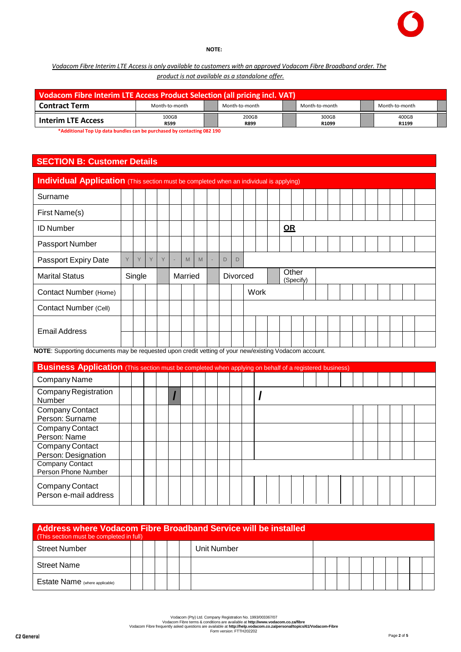

#### **NOTE:**

### *Vodacom Fibre Interim LTE Access is only available to customers with an approved Vodacom Fibre Broadband order. The product is not available as a standalone offer.*

| Vodacom Fibre Interim LTE Access Product Selection (all pricing incl. VAT) |                      |                      |                |                |  |
|----------------------------------------------------------------------------|----------------------|----------------------|----------------|----------------|--|
| <b>Contract Term</b>                                                       | Month-to-month       | Month-to-month       | Month-to-month | Month-to-month |  |
| <b>Interim LTE Access</b>                                                  | 100GB<br><b>R599</b> | 200GB<br><b>R899</b> | 300GB<br>R1099 | 400GB<br>R1199 |  |

**\*Additional Top Up data bundles can be purchased by contacting 082 190**

# **SECTION B: Customer Details**

| Individual Application (This section must be completed when an individual is applying) |   |        |   |   |    |         |   |    |   |                 |      |    |                    |  |  |  |  |  |
|----------------------------------------------------------------------------------------|---|--------|---|---|----|---------|---|----|---|-----------------|------|----|--------------------|--|--|--|--|--|
| Surname                                                                                |   |        |   |   |    |         |   |    |   |                 |      |    |                    |  |  |  |  |  |
| First Name(s)                                                                          |   |        |   |   |    |         |   |    |   |                 |      |    |                    |  |  |  |  |  |
| <b>ID Number</b>                                                                       |   |        |   |   |    |         |   |    |   |                 |      | QR |                    |  |  |  |  |  |
| Passport Number                                                                        |   |        |   |   |    |         |   |    |   |                 |      |    |                    |  |  |  |  |  |
| Passport Expiry Date                                                                   | Y | Y      | Y | Y | ÷, | M       | M | ÷, | D | D               |      |    |                    |  |  |  |  |  |
| <b>Marital Status</b>                                                                  |   | Single |   |   |    | Married |   |    |   | <b>Divorced</b> |      |    | Other<br>(Specify) |  |  |  |  |  |
| <b>Contact Number (Home)</b>                                                           |   |        |   |   |    |         |   |    |   |                 | Work |    |                    |  |  |  |  |  |
| Contact Number (Cell)                                                                  |   |        |   |   |    |         |   |    |   |                 |      |    |                    |  |  |  |  |  |
|                                                                                        |   |        |   |   |    |         |   |    |   |                 |      |    |                    |  |  |  |  |  |
| <b>Email Address</b>                                                                   |   |        |   |   |    |         |   |    |   |                 |      |    |                    |  |  |  |  |  |

**NOTE**: Supporting documents may be requested upon credit vetting of your new/existing Vodacom account.

| <b>Business Application</b> (This section must be completed when applying on behalf of a registered business) |  |  |  |  |  |  |  |  |  |  |  |  |  |
|---------------------------------------------------------------------------------------------------------------|--|--|--|--|--|--|--|--|--|--|--|--|--|
| Company Name                                                                                                  |  |  |  |  |  |  |  |  |  |  |  |  |  |
| <b>Company Registration</b><br>Number                                                                         |  |  |  |  |  |  |  |  |  |  |  |  |  |
| Company Contact<br>Person: Surname                                                                            |  |  |  |  |  |  |  |  |  |  |  |  |  |
| Company Contact<br>Person: Name                                                                               |  |  |  |  |  |  |  |  |  |  |  |  |  |
| Company Contact<br>Person: Designation                                                                        |  |  |  |  |  |  |  |  |  |  |  |  |  |
| Company Contact<br>Person Phone Number                                                                        |  |  |  |  |  |  |  |  |  |  |  |  |  |
| Company Contact<br>Person e-mail address                                                                      |  |  |  |  |  |  |  |  |  |  |  |  |  |

|                                     | Address where Vodacom Fibre Broadband Service will be installed<br>(This section must be completed in full) |  |  |  |  |  |  |  |  |  |  |  |  |  |  |  |
|-------------------------------------|-------------------------------------------------------------------------------------------------------------|--|--|--|--|--|--|--|--|--|--|--|--|--|--|--|
| <b>Street Number</b><br>Unit Number |                                                                                                             |  |  |  |  |  |  |  |  |  |  |  |  |  |  |  |
| <b>Street Name</b>                  |                                                                                                             |  |  |  |  |  |  |  |  |  |  |  |  |  |  |  |
| Estate Name (where applicable)      |                                                                                                             |  |  |  |  |  |  |  |  |  |  |  |  |  |  |  |

Vodacom (Pity) Ltd. Company Registration No. 1993/003637/07<br>Vodacom Fibre terms & conditions are available at <http://www.vodacom.co.za/fibre><br>Form version: FTTH202202<br>Form version: FTTH202202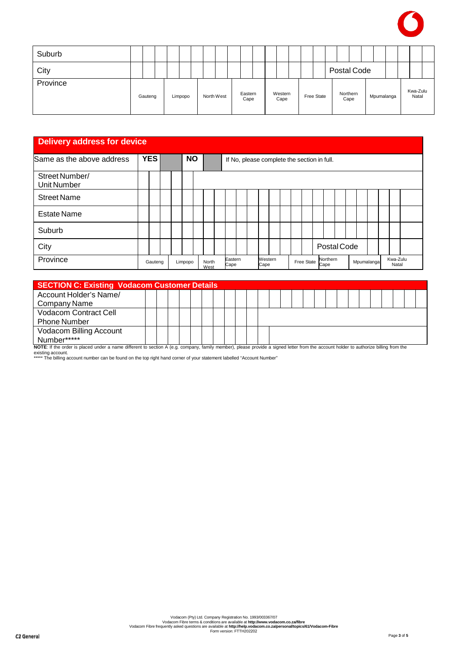

| Suburb   |         |  |         |  |            |                 |  |                 |  |            |             |                  |            |  |                   |  |
|----------|---------|--|---------|--|------------|-----------------|--|-----------------|--|------------|-------------|------------------|------------|--|-------------------|--|
| City     |         |  |         |  |            |                 |  |                 |  |            | Postal Code |                  |            |  |                   |  |
| Province | Gauteng |  | Limpopo |  | North West | Eastern<br>Cape |  | Western<br>Cape |  | Free State |             | Northern<br>Cape | Mpumalanga |  | Kwa-Zulu<br>Natal |  |

## **Delivery address for device**

| Same as the above address            | <b>YES</b> |  | <b>NO</b> |               |                 |  | If No, please complete the section in full. |  |            |                  |  |            |  |                   |  |
|--------------------------------------|------------|--|-----------|---------------|-----------------|--|---------------------------------------------|--|------------|------------------|--|------------|--|-------------------|--|
| Street Number/<br><b>Unit Number</b> |            |  |           |               |                 |  |                                             |  |            |                  |  |            |  |                   |  |
| <b>Street Name</b>                   |            |  |           |               |                 |  |                                             |  |            |                  |  |            |  |                   |  |
| <b>Estate Name</b>                   |            |  |           |               |                 |  |                                             |  |            |                  |  |            |  |                   |  |
| Suburb                               |            |  |           |               |                 |  |                                             |  |            |                  |  |            |  |                   |  |
| City                                 |            |  |           |               |                 |  |                                             |  |            | Postal Code      |  |            |  |                   |  |
| Province                             | Gauteng    |  | Limpopo   | North<br>West | Eastern<br>Cape |  | Western<br>Cape                             |  | Free State | Northern<br>Cape |  | Mpumalanga |  | Kwa-Zulu<br>Natal |  |

| <b>SECTION C: Existing Vodacom Customer Details</b>                                                                                                                                  |  |  |  |  |  |  |  |  |  |  |  |  |  |
|--------------------------------------------------------------------------------------------------------------------------------------------------------------------------------------|--|--|--|--|--|--|--|--|--|--|--|--|--|
| Account Holder's Name/                                                                                                                                                               |  |  |  |  |  |  |  |  |  |  |  |  |  |
| Company Name                                                                                                                                                                         |  |  |  |  |  |  |  |  |  |  |  |  |  |
| Vodacom Contract Cell                                                                                                                                                                |  |  |  |  |  |  |  |  |  |  |  |  |  |
| <b>Phone Number</b>                                                                                                                                                                  |  |  |  |  |  |  |  |  |  |  |  |  |  |
| <b>Vodacom Billing Account</b>                                                                                                                                                       |  |  |  |  |  |  |  |  |  |  |  |  |  |
| Number*****                                                                                                                                                                          |  |  |  |  |  |  |  |  |  |  |  |  |  |
| NOTE: If the order is placed under a name different to section A (e.g. company, family member), please provide a signed letter from the account holder to authorize billing from the |  |  |  |  |  |  |  |  |  |  |  |  |  |

existing account. \*\*\*\*\* The billing account number can be found on the top right hand corner of your statement labelled "Account Number"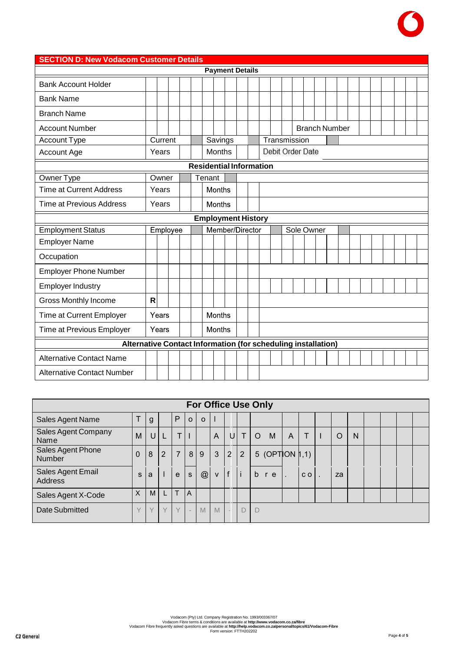

#### **SECTION D: New Vodacom Customer Details Payment Details** Bank Account Holder Bank Name Branch Name Account Number Branch Number Account Type **Current Savings Transmission** Debit Order Date Months Account Age Years **Residential Information** Owner Type **Owner Tenant** Time at Current Address Years Months Time at Previous Address Years Months **Employment History** Employee Member/Director Employment Status Sole Owner Employer Name **Occupation** Employer Phone Number Employer Industry Gross Monthly Income **R** Years Months Time at Current Employer Time at Previous Employer Years **Months Alternative Contact Information (for scheduling installation)** Alternative Contact Name Alternative Contact Number

|                                    |          |   |                |                |                          |              |                |                |            | <b>For Office Use Only</b> |                |                |    |   |  |  |
|------------------------------------|----------|---|----------------|----------------|--------------------------|--------------|----------------|----------------|------------|----------------------------|----------------|----------------|----|---|--|--|
| Sales Agent Name                   | T        | g |                | P              | $\Omega$                 | $\mathbf{o}$ | ı              |                |            |                            |                |                |    |   |  |  |
| Sales Agent Company<br>Name        | M        | U |                | T              |                          |              | $\overline{A}$ | U              | $\top$     | M<br>$\circ$               | $\overline{A}$ | Æ              | O  | N |  |  |
| Sales Agent Phone<br><b>Number</b> | 0        | 8 | $\overline{2}$ | $\overline{7}$ | 8 <sup>1</sup>           | 9            | $\mathbf{3}$   | $\overline{2}$ | $\sqrt{2}$ | 5 (OPTION $ 1,1\rangle$    |                |                |    |   |  |  |
| Sales Agent Email<br>Address       | S        | a |                | e              | $\mathsf{s}$             | @            | $\mathsf{v}$   | f              | Πi         | b<br>r e                   |                | C <sub>O</sub> | za |   |  |  |
| Sales Agent X-Code                 | $\times$ | M |                | T.             | A                        |              |                |                |            |                            |                |                |    |   |  |  |
| Date Submitted                     | $\vee$   |   | $\vee$         | $\vee$         | $\overline{\phantom{a}}$ | M            | M              |                | D          | D                          |                |                |    |   |  |  |

Vodacom (Pty) Ltd. Company Registration No. 1993/003367/07<br>Vodacom Fibre terms & conditions are available at <http://www.vodacom.co.za/fibre><br>Vodacom Fibre frequently asked questions are available at http://help.vodacom.co.z